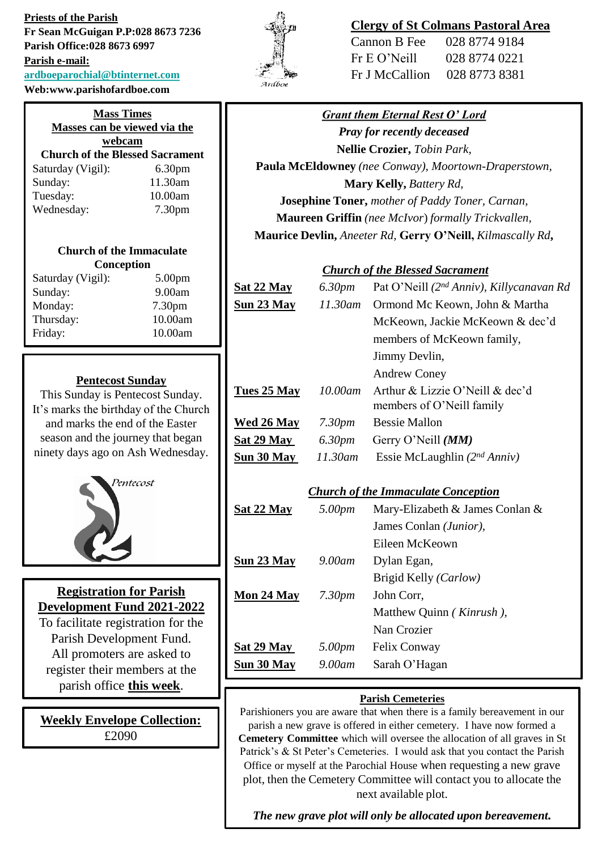**Priests of the Parish Fr Sean McGuigan P.P:028 8673 7236 Parish Office:028 8673 6997 Parish e-mail: [ardboeparochial@btinternet.com](mailto:ardboeparochial@btinternet.com) Web:www.parishofardboe.com**

| <b>Mass Times</b><br>Masses can be viewed via the |                    |  |
|---------------------------------------------------|--------------------|--|
| webcam                                            |                    |  |
| <b>Church of the Blessed Sacrament</b>            |                    |  |
| Saturday (Vigil):                                 | 6.30 <sub>pm</sub> |  |
| Sunday:                                           | 11.30am            |  |
| Tuesday:                                          | 10.00am            |  |
| Wednesday:                                        | 7.30 <sub>pm</sub> |  |

#### **Church of the Immaculate Conception**

| Saturday (Vigil): | 5.00 <sub>pm</sub> |
|-------------------|--------------------|
| Sunday:           | 9.00am             |
| Monday:           | 7.30pm             |
| Thursday:         | 10.00am            |
| Friday:           | 10.00am            |
|                   |                    |

#### **Pentecost Sunday**

This Sunday is Pentecost Sunday. It's marks the birthday of the Church and marks the end of the Easter season and the journey that began ninety days ago on Ash Wednesday.



# **Registration for Parish Development Fund 2021-2022**

To facilitate registration for the Parish Development Fund. All promoters are asked to register their members at the parish office **this week**.

**Weekly Envelope Collection:** £2090



## **Clergy of St Colmans Pastoral Area**

| Cannon B Fee   | 028 8774 9184 |
|----------------|---------------|
| Fr E O' Neill  | 028 8774 0221 |
| Fr J McCallion | 028 8773 8381 |

## *Grant them Eternal Rest O' Lord*

*Pray for recently deceased* **Nellie Crozier,** *Tobin Park,*  **Paula McEldowney** *(nee Conway), Moortown-Draperstown,* **Mary Kelly,** *Battery Rd,*  **Josephine Toner,** *mother of Paddy Toner, Carnan,* **Maureen Griffin** *(nee McIvor*) *formally Trickvallen,* **Maurice Devlin,** *Aneeter Rd,* **Gerry O'Neill,** *Kilmascally Rd***,**

### *Church of the Blessed Sacrament*

| <u>Sat 22 May</u>                          | 6.30 <sub>pm</sub> | Pat O'Neill (2 <sup>nd</sup> Anniv), Killycanavan Rd         |
|--------------------------------------------|--------------------|--------------------------------------------------------------|
| <u>Sun 23 May</u>                          | $11.30$ am         | Ormond Mc Keown, John & Martha                               |
|                                            |                    | McKeown, Jackie McKeown & dec'd                              |
|                                            |                    | members of McKeown family,                                   |
|                                            |                    | Jimmy Devlin,                                                |
|                                            |                    | <b>Andrew Coney</b>                                          |
| <u>Tues 25 May</u>                         | $10.00$ am         | Arthur & Lizzie O'Neill & dec'd<br>members of O'Neill family |
| <u>Wed 26 May</u>                          | 7.30pm             | <b>Bessie Mallon</b>                                         |
| <b>Sat 29 May</b> 6.30pm                   |                    | Gerry O'Neill (MM)                                           |
| <u>Sun 30 May</u>                          | 11.30am            | Essie McLaughlin $(2^{nd} Anniv)$                            |
| <b>Church of the Immaculate Conception</b> |                    |                                                              |
| <u>Sat 22 May</u>                          | 5.00pm             | Mary-Elizabeth & James Conlan &                              |
|                                            |                    | James Conlan (Junior),                                       |
|                                            |                    | Eileen McKeown                                               |
| <u>Sun 23 May</u>                          | 9.00am             | Dylan Egan,                                                  |
|                                            |                    | Brigid Kelly (Carlow)                                        |
| <u>Mon 24 May</u>                          | 7.30 <sub>pm</sub> | John Corr,                                                   |
|                                            |                    | Matthew Quinn (Kinrush),                                     |
|                                            |                    | Nan Crozier                                                  |
| <u>Sat 29 May</u>                          | 5.00pm             | Felix Conway                                                 |
| <u>Sun 30 May</u>                          | 9.00am             | Sarah O'Hagan                                                |
|                                            |                    |                                                              |

#### **Parish Cemeteries**

Parishioners you are aware that when there is a family bereavement in our parish a new grave is offered in either cemetery. I have now formed a **Cemetery Committee** which will oversee the allocation of all graves in St Patrick's & St Peter's Cemeteries. I would ask that you contact the Parish Office or myself at the Parochial House when requesting a new grave plot, then the Cemetery Committee will contact you to allocate the next available plot.

*The new grave plot will only be allocated upon bereavement.*